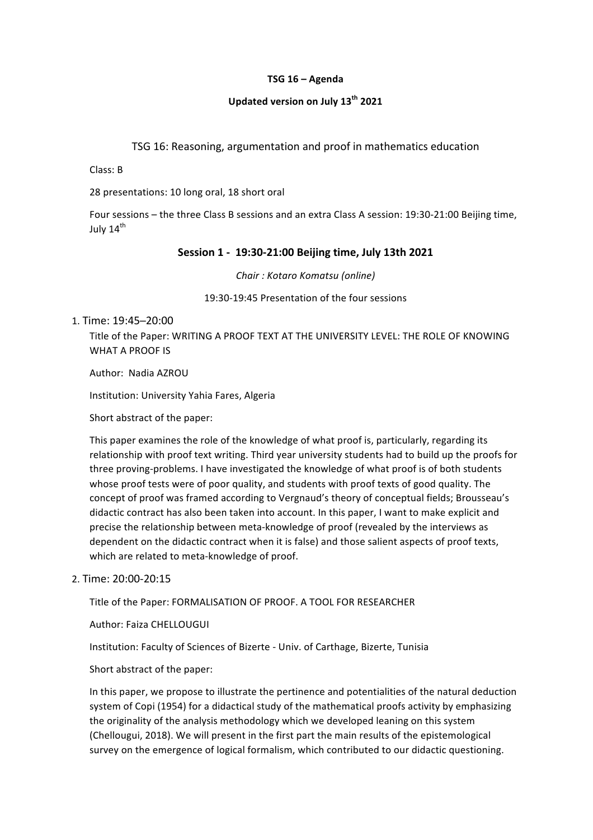### **TSG\$16\$– Agenda**

## **Updated\$version\$on\$July\$13th 2021**

TSG 16: Reasoning, argumentation and proof in mathematics education

Class: B

28 presentations: 10 long oral, 18 short oral

Four sessions – the three Class B sessions and an extra Class A session: 19:30-21:00 Beijing time, July 14<sup>th</sup>

### **Session\$1\$>\$\$19:30>21:00\$Beijing\$time,\$July\$13th 2021**

*Chair :&Kotaro&Komatsu (online)*

19:30-19:45 Presentation of the four sessions

### 1. Time: 19:45-20:00

Title of the Paper: WRITING A PROOF TEXT AT THE UNIVERSITY LEVEL: THE ROLE OF KNOWING WHAT A PROOF IS

Author: Nadia AZROU

Institution: University Yahia Fares, Algeria

Short abstract of the paper:

This paper examines the role of the knowledge of what proof is, particularly, regarding its relationship with proof text writing. Third year university students had to build up the proofs for three proving-problems. I have investigated the knowledge of what proof is of both students whose proof tests were of poor quality, and students with proof texts of good quality. The concept of proof was framed according to Vergnaud's theory of conceptual fields; Brousseau's didactic contract has also been taken into account. In this paper, I want to make explicit and precise the relationship between meta-knowledge of proof (revealed by the interviews as dependent on the didactic contract when it is false) and those salient aspects of proof texts, which are related to meta-knowledge of proof.

### 2. Time: 20:00-20:15

Title of the Paper: FORMALISATION OF PROOF. A TOOL FOR RESEARCHER

Author: Faiza CHELLOUGUI

Institution: Faculty of Sciences of Bizerte - Univ. of Carthage, Bizerte, Tunisia

Short abstract of the paper:

In this paper, we propose to illustrate the pertinence and potentialities of the natural deduction system of Copi (1954) for a didactical study of the mathematical proofs activity by emphasizing the originality of the analysis methodology which we developed leaning on this system (Chellougui, 2018). We will present in the first part the main results of the epistemological survey on the emergence of logical formalism, which contributed to our didactic questioning.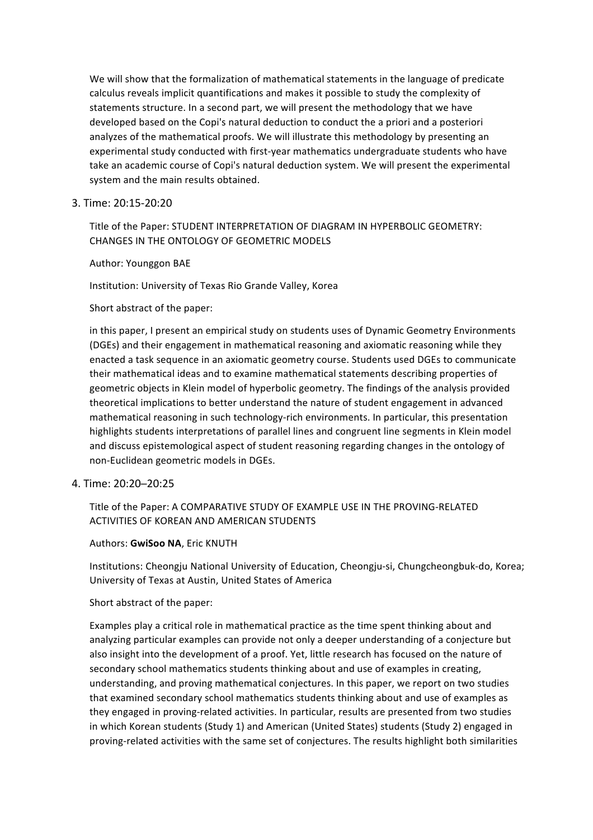We will show that the formalization of mathematical statements in the language of predicate calculus reveals implicit quantifications and makes it possible to study the complexity of statements structure. In a second part, we will present the methodology that we have developed based on the Copi's natural deduction to conduct the a priori and a posteriori analyzes of the mathematical proofs. We will illustrate this methodology by presenting an experimental study conducted with first-year mathematics undergraduate students who have take an academic course of Copi's natural deduction system. We will present the experimental system and the main results obtained.

### 3. Time: 20:15-20:20

Title of the Paper: STUDENT INTERPRETATION OF DIAGRAM IN HYPERBOLIC GEOMETRY: CHANGES IN THE ONTOLOGY OF GEOMETRIC MODELS

### Author: Younggon BAE

Institution: University of Texas Rio Grande Valley, Korea

Short abstract of the paper:

in this paper, I present an empirical study on students uses of Dynamic Geometry Environments (DGEs) and their engagement in mathematical reasoning and axiomatic reasoning while they enacted a task sequence in an axiomatic geometry course. Students used DGEs to communicate their mathematical ideas and to examine mathematical statements describing properties of geometric objects in Klein model of hyperbolic geometry. The findings of the analysis provided theoretical implications to better understand the nature of student engagement in advanced mathematical reasoning in such technology-rich environments. In particular, this presentation highlights students interpretations of parallel lines and congruent line segments in Klein model and discuss epistemological aspect of student reasoning regarding changes in the ontology of non-Euclidean geometric models in DGEs.

### 4. Time: 20:20-20:25

## Title of the Paper: A COMPARATIVE STUDY OF EXAMPLE USE IN THE PROVING-RELATED ACTIVITIES OF KOREAN AND AMERICAN STUDENTS

### Authors: **GwiSoo NA**, Eric KNUTH

Institutions: Cheongju National University of Education, Cheongju-si, Chungcheongbuk-do, Korea; University of Texas at Austin, United States of America

### Short abstract of the paper:

Examples play a critical role in mathematical practice as the time spent thinking about and analyzing particular examples can provide not only a deeper understanding of a conjecture but also insight into the development of a proof. Yet, little research has focused on the nature of secondary school mathematics students thinking about and use of examples in creating, understanding, and proving mathematical conjectures. In this paper, we report on two studies that examined secondary school mathematics students thinking about and use of examples as they engaged in proving-related activities. In particular, results are presented from two studies in which Korean students (Study 1) and American (United States) students (Study 2) engaged in proving-related activities with the same set of conjectures. The results highlight both similarities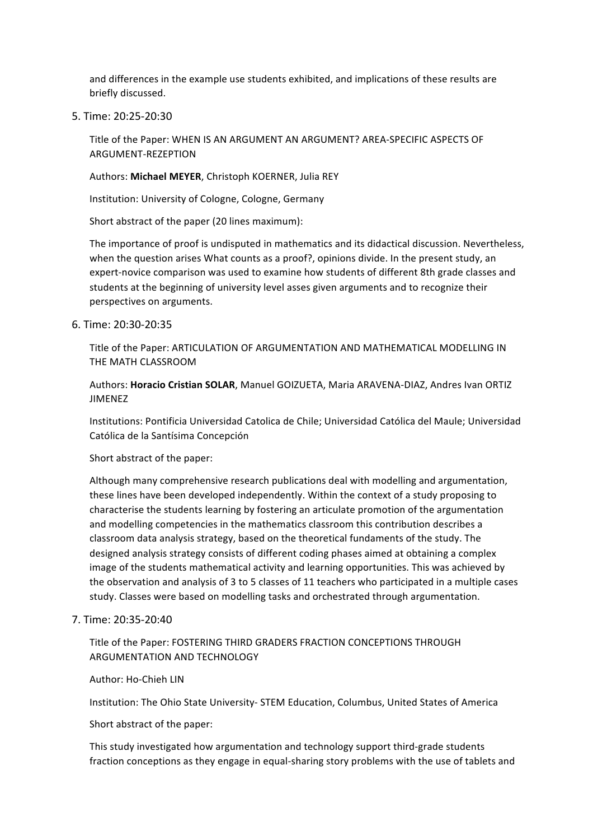and differences in the example use students exhibited, and implications of these results are briefly discussed.

5. Time: 20:25-20:30

Title of the Paper: WHEN IS AN ARGUMENT AN ARGUMENT? AREA-SPECIFIC ASPECTS OF ARGUMENT-REZEPTION

Authors: Michael MEYER, Christoph KOERNER, Julia REY

Institution: University of Cologne, Cologne, Germany

Short abstract of the paper (20 lines maximum):

The importance of proof is undisputed in mathematics and its didactical discussion. Nevertheless, when the question arises What counts as a proof?, opinions divide. In the present study, an expert-novice comparison was used to examine how students of different 8th grade classes and students at the beginning of university level asses given arguments and to recognize their perspectives on arguments.

6. Time: 20:30-20:35

Title of the Paper: ARTICULATION OF ARGUMENTATION AND MATHEMATICAL MODELLING IN THE MATH CLASSROOM

Authors: Horacio Cristian SOLAR, Manuel GOIZUETA, Maria ARAVENA-DIAZ, Andres Ivan ORTIZ JIMENEZ

Institutions: Pontificia Universidad Catolica de Chile; Universidad Católica del Maule; Universidad Católica de la Santísima Concepción

Short abstract of the paper:

Although many comprehensive research publications deal with modelling and argumentation, these lines have been developed independently. Within the context of a study proposing to characterise the students learning by fostering an articulate promotion of the argumentation and modelling competencies in the mathematics classroom this contribution describes a classroom data analysis strategy, based on the theoretical fundaments of the study. The designed analysis strategy consists of different coding phases aimed at obtaining a complex image of the students mathematical activity and learning opportunities. This was achieved by the observation and analysis of 3 to 5 classes of 11 teachers who participated in a multiple cases study. Classes were based on modelling tasks and orchestrated through argumentation.

### 7. Time: 20:35-20:40

Title of the Paper: FOSTERING THIRD GRADERS FRACTION CONCEPTIONS THROUGH ARGUMENTATION AND TECHNOLOGY

#### Author: Ho-Chieh LIN

Institution: The Ohio State University- STEM Education, Columbus, United States of America

Short abstract of the paper:

This study investigated how argumentation and technology support third-grade students fraction conceptions as they engage in equal-sharing story problems with the use of tablets and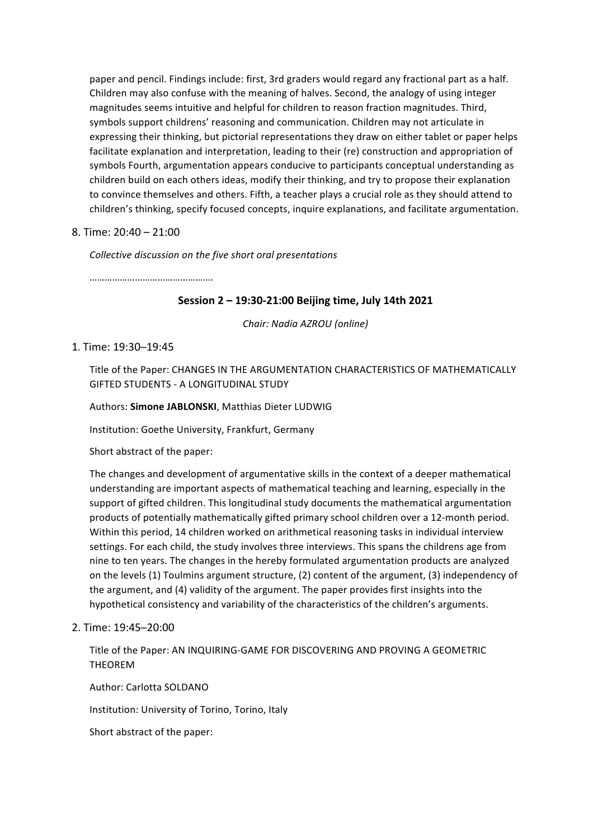paper and pencil. Findings include: first, 3rd graders would regard any fractional part as a half. Children may also confuse with the meaning of halves. Second, the analogy of using integer magnitudes seems intuitive and helpful for children to reason fraction magnitudes. Third, symbols support childrens' reasoning and communication. Children may not articulate in expressing their thinking, but pictorial representations they draw on either tablet or paper helps facilitate explanation and interpretation, leading to their (re) construction and appropriation of symbols Fourth, argumentation appears conducive to participants conceptual understanding as children build on each others ideas, modify their thinking, and try to propose their explanation to convince themselves and others. Fifth, a teacher plays a crucial role as they should attend to children's thinking, specify focused concepts, inquire explanations, and facilitate argumentation.

### 8. Time: 20:40 – 21:00

*Collective discussion on the five short oral presentations* 

…………………………………………

## **Session 2 – 19:30-21:00 Beijing time, July 14th 2021**

*Chair:&Nadia&AZROU&(online)*

## 1. Time: 19:30-19:45

Title of the Paper: CHANGES IN THE ARGUMENTATION CHARACTERISTICS OF MATHEMATICALLY GIFTED STUDENTS - A LONGITUDINAL STUDY

Authors: Simone JABLONSKI, Matthias Dieter LUDWIG

Institution: Goethe University, Frankfurt, Germany

Short abstract of the paper:

The changes and development of argumentative skills in the context of a deeper mathematical understanding are important aspects of mathematical teaching and learning, especially in the support of gifted children. This longitudinal study documents the mathematical argumentation products of potentially mathematically gifted primary school children over a 12-month period. Within this period, 14 children worked on arithmetical reasoning tasks in individual interview settings. For each child, the study involves three interviews. This spans the childrens age from nine to ten years. The changes in the hereby formulated argumentation products are analyzed on the levels (1) Toulmins argument structure, (2) content of the argument, (3) independency of the argument, and (4) validity of the argument. The paper provides first insights into the hypothetical consistency and variability of the characteristics of the children's arguments.

## 2. Time: 19:45-20:00

Title of the Paper: AN INQUIRING-GAME FOR DISCOVERING AND PROVING A GEOMETRIC THEOREM

Author: Carlotta SOLDANO

Institution: University of Torino, Torino, Italy

Short abstract of the paper: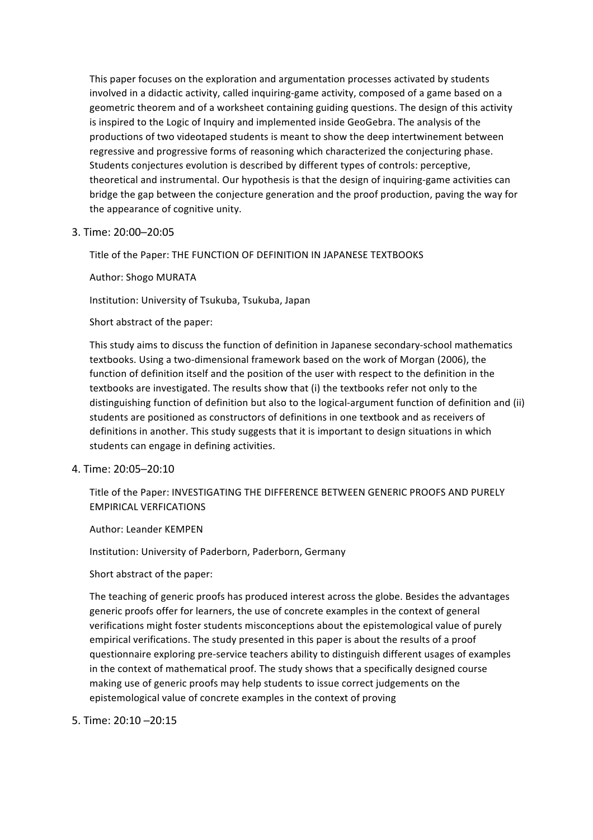This paper focuses on the exploration and argumentation processes activated by students involved in a didactic activity, called inquiring-game activity, composed of a game based on a geometric theorem and of a worksheet containing guiding questions. The design of this activity is inspired to the Logic of Inquiry and implemented inside GeoGebra. The analysis of the productions of two videotaped students is meant to show the deep intertwinement between regressive and progressive forms of reasoning which characterized the conjecturing phase. Students conjectures evolution is described by different types of controls: perceptive, theoretical and instrumental. Our hypothesis is that the design of inquiring-game activities can bridge the gap between the conjecture generation and the proof production, paving the way for the appearance of cognitive unity.

#### 3. Time: 20:00-20:05

Title of the Paper: THE FUNCTION OF DEFINITION IN JAPANESE TEXTBOOKS

Author: Shogo MURATA

Institution: University of Tsukuba, Tsukuba, Japan

Short abstract of the paper:

This study aims to discuss the function of definition in Japanese secondary-school mathematics textbooks. Using a two-dimensional framework based on the work of Morgan (2006), the function of definition itself and the position of the user with respect to the definition in the textbooks are investigated. The results show that (i) the textbooks refer not only to the distinguishing function of definition but also to the logical-argument function of definition and (ii) students are positioned as constructors of definitions in one textbook and as receivers of definitions in another. This study suggests that it is important to design situations in which students can engage in defining activities.

### 4. Time: 20:05-20:10

Title of the Paper: INVESTIGATING THE DIFFERENCE BETWEEN GENERIC PROOFS AND PURELY EMPIRICAL!VERFICATIONS

Author: Leander KEMPEN

Institution: University of Paderborn, Paderborn, Germany

Short abstract of the paper:

The teaching of generic proofs has produced interest across the globe. Besides the advantages generic proofs offer for learners, the use of concrete examples in the context of general verifications might foster students misconceptions about the epistemological value of purely empirical verifications. The study presented in this paper is about the results of a proof questionnaire exploring pre-service teachers ability to distinguish different usages of examples in the context of mathematical proof. The study shows that a specifically designed course making use of generic proofs may help students to issue correct judgements on the epistemological value of concrete examples in the context of proving

5. Time: 20:10 - 20:15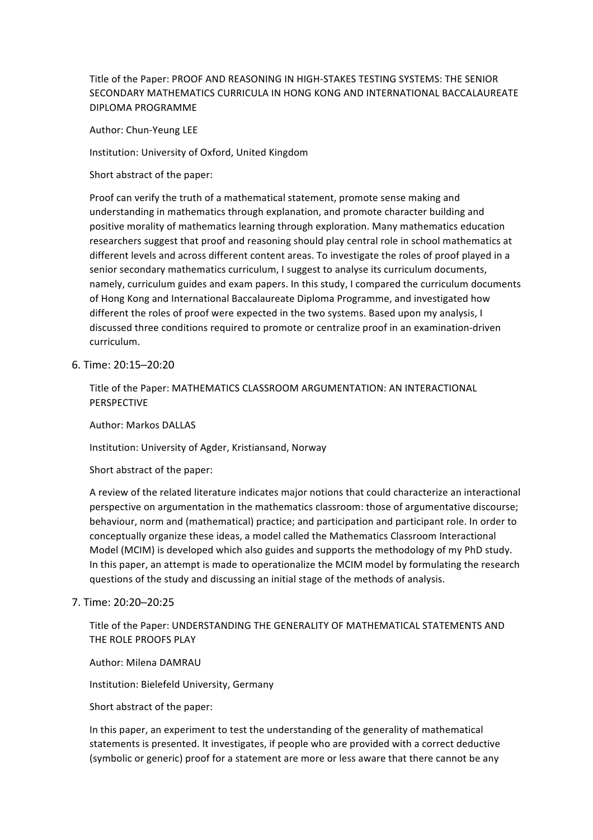Title of the Paper: PROOF AND REASONING IN HIGH-STAKES TESTING SYSTEMS: THE SENIOR SECONDARY MATHEMATICS CURRICULA IN HONG KONG AND INTERNATIONAL BACCALAUREATE DIPLOMA!PROGRAMME

Author: Chun-Yeung LEE

Institution: University of Oxford, United Kingdom

Short abstract of the paper:

Proof can verify the truth of a mathematical statement, promote sense making and understanding in mathematics through explanation, and promote character building and positive morality of mathematics learning through exploration. Many mathematics education researchers suggest that proof and reasoning should play central role in school mathematics at different levels and across different content areas. To investigate the roles of proof played in a senior secondary mathematics curriculum, I suggest to analyse its curriculum documents, namely, curriculum guides and exam papers. In this study, I compared the curriculum documents of Hong Kong and International Baccalaureate Diploma Programme, and investigated how different the roles of proof were expected in the two systems. Based upon my analysis, I discussed three conditions required to promote or centralize proof in an examination-driven curriculum.

### 6.!Time:!20:15─20:20

Title of the Paper: MATHEMATICS CLASSROOM ARGUMENTATION: AN INTERACTIONAL PERSPECTIVE

Author: Markos DALLAS

Institution: University of Agder, Kristiansand, Norway

Short abstract of the paper:

A review of the related literature indicates major notions that could characterize an interactional perspective on argumentation in the mathematics classroom: those of argumentative discourse; behaviour, norm and (mathematical) practice; and participation and participant role. In order to conceptually organize these ideas, a model called the Mathematics Classroom Interactional Model (MCIM) is developed which also guides and supports the methodology of my PhD study. In this paper, an attempt is made to operationalize the MCIM model by formulating the research questions of the study and discussing an initial stage of the methods of analysis.

#### 7. Time: 20:20-20:25

Title of the Paper: UNDERSTANDING THE GENERALITY OF MATHEMATICAL STATEMENTS AND THE ROLE PROOFS PLAY

Author: Milena DAMRAU

Institution: Bielefeld University, Germany

Short abstract of the paper:

In this paper, an experiment to test the understanding of the generality of mathematical statements is presented. It investigates, if people who are provided with a correct deductive (symbolic or generic) proof for a statement are more or less aware that there cannot be any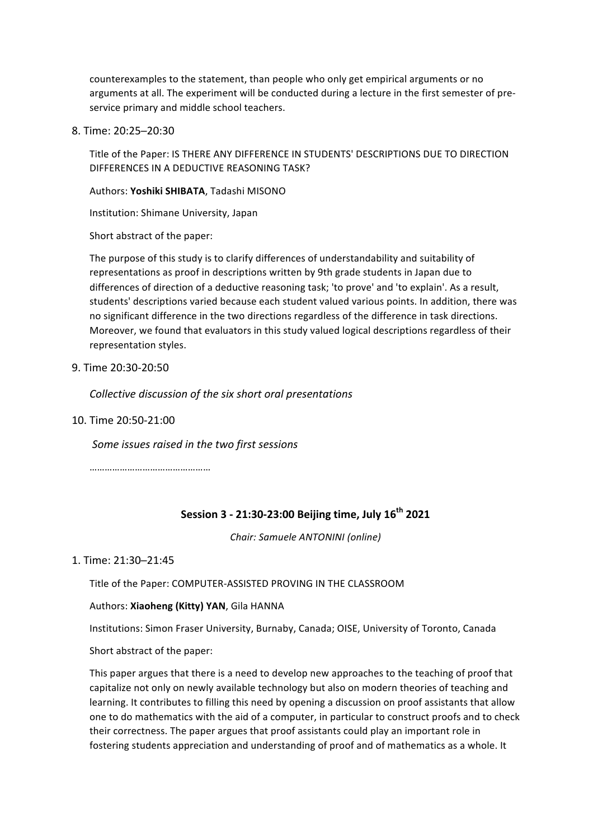counterexamples to the statement, than people who only get empirical arguments or no arguments at all. The experiment will be conducted during a lecture in the first semester of preservice primary and middle school teachers.

8. Time: 20:25-20:30

Title of the Paper: IS THERE ANY DIFFERENCE IN STUDENTS' DESCRIPTIONS DUE TO DIRECTION DIFFERENCES IN A DEDUCTIVE REASONING TASK?

Authors: Yoshiki SHIBATA, Tadashi MISONO

Institution: Shimane University, Japan

Short abstract of the paper:

The purpose of this study is to clarify differences of understandability and suitability of representations as proof in descriptions written by 9th grade students in Japan due to differences of direction of a deductive reasoning task; 'to prove' and 'to explain'. As a result, students' descriptions varied because each student valued various points. In addition, there was no significant difference in the two directions regardless of the difference in task directions. Moreover, we found that evaluators in this study valued logical descriptions regardless of their representation styles.

9. Time 20:30-20:50

*Collective discussion of the six short oral presentations* 

10. Time 20:50-21:00

*Some issues raised in the two first sessions* 

……………………………………………

## **Session\$3 > 21:30>23:00\$Beijing\$time,\$July\$16th 2021**

*Chair:&Samuele&ANTONINI (online)*

### 1. Time: 21:30-21:45

Title of the Paper: COMPUTER-ASSISTED PROVING IN THE CLASSROOM

Authors: **Xiaoheng (Kitty) YAN**, Gila HANNA

Institutions: Simon Fraser University, Burnaby, Canada; OISE, University of Toronto, Canada

Short abstract of the paper:

This paper argues that there is a need to develop new approaches to the teaching of proof that capitalize not only on newly available technology but also on modern theories of teaching and learning. It contributes to filling this need by opening a discussion on proof assistants that allow one to do mathematics with the aid of a computer, in particular to construct proofs and to check their correctness. The paper argues that proof assistants could play an important role in fostering students appreciation and understanding of proof and of mathematics as a whole. It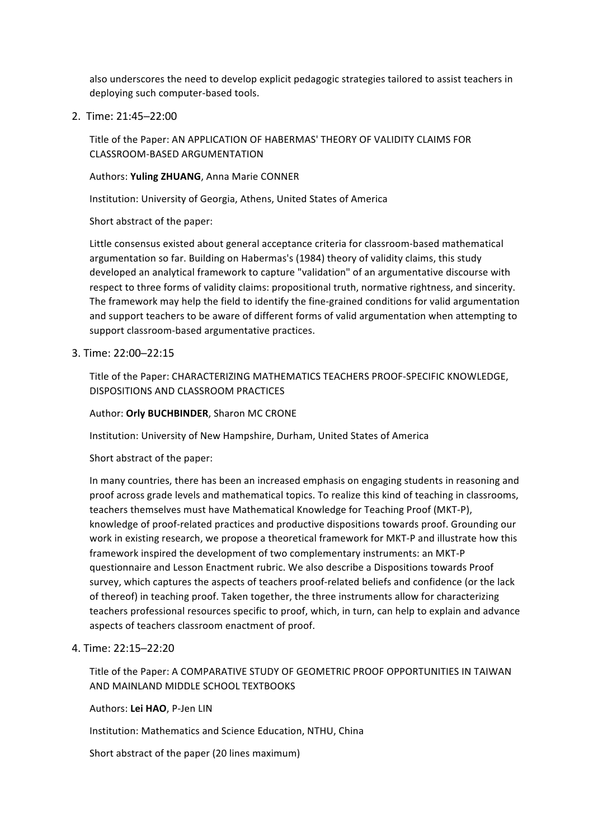also underscores the need to develop explicit pedagogic strategies tailored to assist teachers in deploying such computer-based tools.

2. Time: 21:45-22:00

Title of the Paper: AN APPLICATION OF HABERMAS' THEORY OF VALIDITY CLAIMS FOR CLASSROOM-BASED ARGUMENTATION

### Authors: Yuling ZHUANG, Anna Marie CONNER

Institution: University of Georgia, Athens, United States of America

Short abstract of the paper:

Little consensus existed about general acceptance criteria for classroom-based mathematical argumentation so far. Building on Habermas's (1984) theory of validity claims, this study developed an analytical framework to capture "validation" of an argumentative discourse with respect to three forms of validity claims: propositional truth, normative rightness, and sincerity. The framework may help the field to identify the fine-grained conditions for valid argumentation and support teachers to be aware of different forms of valid argumentation when attempting to support classroom-based argumentative practices.

### 3. Time: 22:00-22:15

Title of the Paper: CHARACTERIZING MATHEMATICS TEACHERS PROOF-SPECIFIC KNOWLEDGE, DISPOSITIONS AND CLASSROOM PRACTICES

#### Author: Orly BUCHBINDER, Sharon MC CRONE

Institution: University of New Hampshire, Durham, United States of America

Short abstract of the paper:

In many countries, there has been an increased emphasis on engaging students in reasoning and proof across grade levels and mathematical topics. To realize this kind of teaching in classrooms, teachers themselves must have Mathematical Knowledge for Teaching Proof (MKT-P), knowledge of proof-related practices and productive dispositions towards proof. Grounding our work in existing research, we propose a theoretical framework for MKT-P and illustrate how this framework inspired the development of two complementary instruments: an MKT-P questionnaire and Lesson Enactment rubric. We also describe a Dispositions towards Proof survey, which captures the aspects of teachers proof-related beliefs and confidence (or the lack of thereof) in teaching proof. Taken together, the three instruments allow for characterizing teachers professional resources specific to proof, which, in turn, can help to explain and advance aspects of teachers classroom enactment of proof.

### 4. Time: 22:15-22:20

Title of the Paper: A COMPARATIVE STUDY OF GEOMETRIC PROOF OPPORTUNITIES IN TAIWAN AND MAINLAND MIDDLE SCHOOL TEXTBOOKS

Authors: Lei HAO, P-Jen LIN

Institution: Mathematics and Science Education, NTHU, China

Short abstract of the paper (20 lines maximum)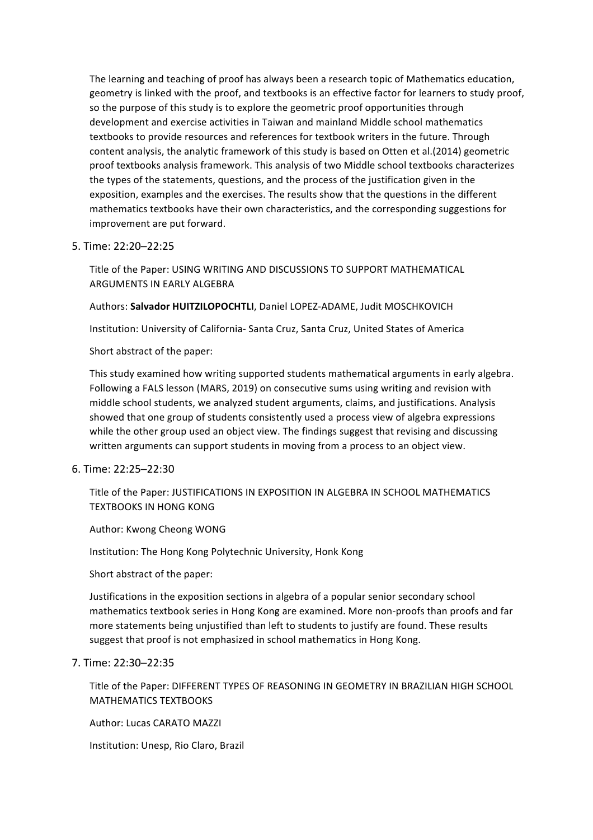The learning and teaching of proof has always been a research topic of Mathematics education, geometry is linked with the proof, and textbooks is an effective factor for learners to study proof, so the purpose of this study is to explore the geometric proof opportunities through development and exercise activities in Taiwan and mainland Middle school mathematics textbooks to provide resources and references for textbook writers in the future. Through content analysis, the analytic framework of this study is based on Otten et al.(2014) geometric proof textbooks analysis framework. This analysis of two Middle school textbooks characterizes the types of the statements, questions, and the process of the justification given in the exposition, examples and the exercises. The results show that the questions in the different mathematics textbooks have their own characteristics, and the corresponding suggestions for improvement are put forward.

### 5. Time: 22:20-22:25

Title of the Paper: USING WRITING AND DISCUSSIONS TO SUPPORT MATHEMATICAL ARGUMENTS IN FARLY ALGEBRA

### Authors: Salvador HUITZILOPOCHTLI, Daniel LOPEZ-ADAME, Judit MOSCHKOVICH

Institution: University of California- Santa Cruz, Santa Cruz, United States of America

Short abstract of the paper:

This study examined how writing supported students mathematical arguments in early algebra. Following a FALS lesson (MARS, 2019) on consecutive sums using writing and revision with middle school students, we analyzed student arguments, claims, and justifications. Analysis showed that one group of students consistently used a process view of algebra expressions while the other group used an object view. The findings suggest that revising and discussing written arguments can support students in moving from a process to an object view.

### 6. Time: 22:25-22:30

Title of the Paper: JUSTIFICATIONS IN EXPOSITION IN ALGEBRA IN SCHOOL MATHEMATICS TEXTBOOKS IN HONG KONG

Author: Kwong Cheong WONG

Institution: The Hong Kong Polytechnic University, Honk Kong

Short abstract of the paper:

Justifications in the exposition sections in algebra of a popular senior secondary school mathematics textbook series in Hong Kong are examined. More non-proofs than proofs and far more statements being unjustified than left to students to justify are found. These results suggest that proof is not emphasized in school mathematics in Hong Kong.

### 7. Time: 22:30-22:35

Title of the Paper: DIFFERENT TYPES OF REASONING IN GEOMETRY IN BRAZILIAN HIGH SCHOOL MATHEMATICS TEXTBOOKS

Author: Lucas CARATO MAZZI

Institution: Unesp, Rio Claro, Brazil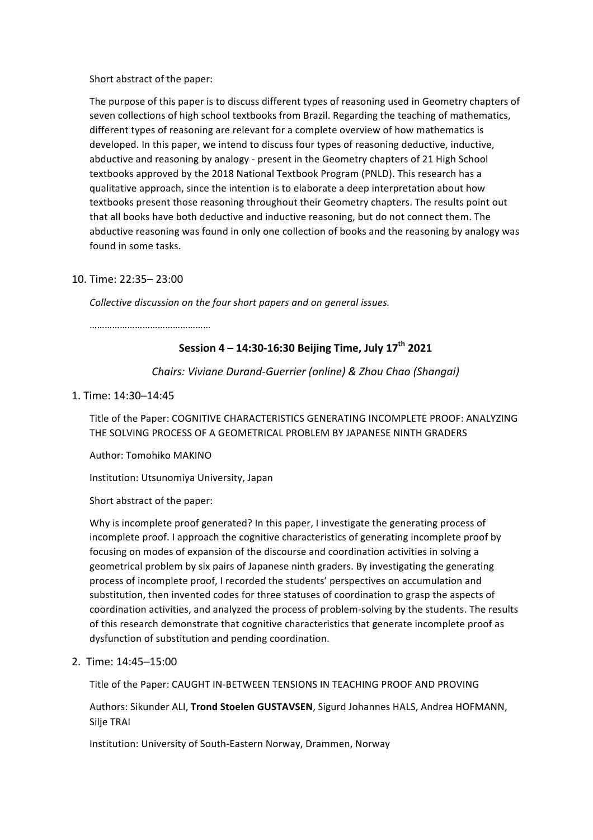Short abstract of the paper:

The purpose of this paper is to discuss different types of reasoning used in Geometry chapters of seven collections of high school textbooks from Brazil. Regarding the teaching of mathematics, different types of reasoning are relevant for a complete overview of how mathematics is developed. In this paper, we intend to discuss four types of reasoning deductive, inductive, abductive and reasoning by analogy - present in the Geometry chapters of 21 High School textbooks approved by the 2018 National Textbook Program (PNLD). This research has a qualitative approach, since the intention is to elaborate a deep interpretation about how textbooks present those reasoning throughout their Geometry chapters. The results point out that all books have both deductive and inductive reasoning, but do not connect them. The abductive reasoning was found in only one collection of books and the reasoning by analogy was found in some tasks.

### 10. Time: 22:35- 23:00

*Collective&discussion&on&the&four&short&papers and&on&general&issues.&*

…………………………………………

# **Session\$4 – 14:30>16:30\$Beijing\$Time,\$July\$17th 2021**

*Chairs:&Viviane&DurandGGuerrier&(online) &&Zhou&Chao&(Shangai)*

### 1. Time: 14:30-14:45

Title of the Paper: COGNITIVE CHARACTERISTICS GENERATING INCOMPLETE PROOF: ANALYZING THE SOLVING PROCESS OF A GEOMETRICAL PROBLEM BY JAPANESE NINTH GRADERS

Author: Tomohiko MAKINO

Institution: Utsunomiya University, Japan

Short abstract of the paper:

Why is incomplete proof generated? In this paper, I investigate the generating process of incomplete proof. I approach the cognitive characteristics of generating incomplete proof by focusing on modes of expansion of the discourse and coordination activities in solving a geometrical problem by six pairs of Japanese ninth graders. By investigating the generating process of incomplete proof, I recorded the students' perspectives on accumulation and substitution, then invented codes for three statuses of coordination to grasp the aspects of coordination activities, and analyzed the process of problem-solving by the students. The results of this research demonstrate that cognitive characteristics that generate incomplete proof as dysfunction of substitution and pending coordination.

2. Time: 14:45-15:00

Title of the Paper: CAUGHT IN-BETWEEN TENSIONS IN TEACHING PROOF AND PROVING

Authors: Sikunder ALI, Trond Stoelen GUSTAVSEN, Sigurd Johannes HALS, Andrea HOFMANN, Silje TRAI

Institution: University of South-Eastern Norway, Drammen, Norway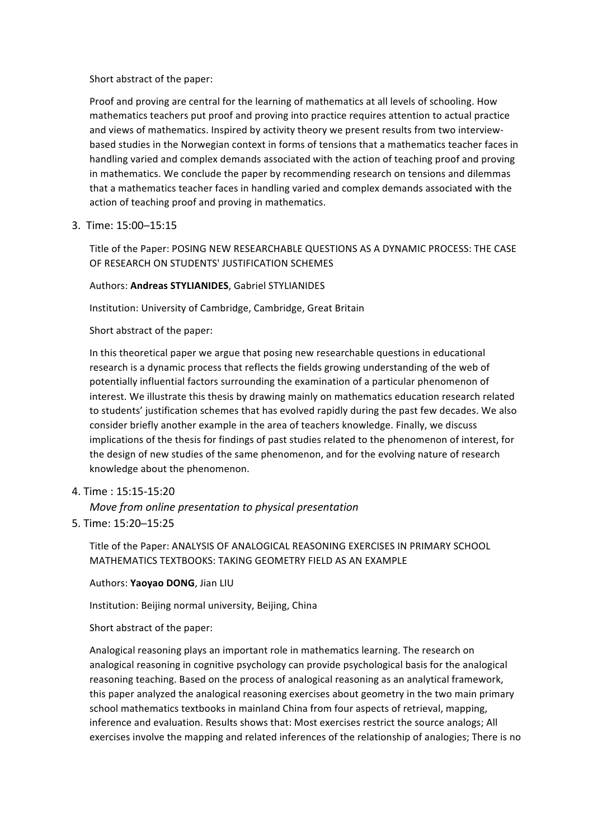Short abstract of the paper:

Proof and proving are central for the learning of mathematics at all levels of schooling. How mathematics teachers put proof and proving into practice requires attention to actual practice and views of mathematics. Inspired by activity theory we present results from two interviewbased studies in the Norwegian context in forms of tensions that a mathematics teacher faces in handling varied and complex demands associated with the action of teaching proof and proving in mathematics. We conclude the paper by recommending research on tensions and dilemmas that a mathematics teacher faces in handling varied and complex demands associated with the action of teaching proof and proving in mathematics.

3. Time: 15:00-15:15

Title of the Paper: POSING NEW RESEARCHABLE QUESTIONS AS A DYNAMIC PROCESS: THE CASE OF RESEARCH ON STUDENTS' JUSTIFICATION SCHEMES

### Authors: **Andreas STYLIANIDES**, Gabriel STYLIANIDES

Institution: University of Cambridge, Cambridge, Great Britain

Short abstract of the paper:

In this theoretical paper we argue that posing new researchable questions in educational research is a dynamic process that reflects the fields growing understanding of the web of potentially influential factors surrounding the examination of a particular phenomenon of interest. We illustrate this thesis by drawing mainly on mathematics education research related to students' justification schemes that has evolved rapidly during the past few decades. We also consider briefly another example in the area of teachers knowledge. Finally, we discuss implications of the thesis for findings of past studies related to the phenomenon of interest, for the design of new studies of the same phenomenon, and for the evolving nature of research knowledge about the phenomenon.

4. Time: 15:15-15:20

*Move from online presentation to physical presentation* 

5. Time: 15:20-15:25

Title of the Paper: ANALYSIS OF ANALOGICAL REASONING EXERCISES IN PRIMARY SCHOOL MATHEMATICS TEXTBOOKS: TAKING GEOMETRY FIELD AS AN EXAMPLE.

Authors: Yaoyao DONG, Jian LIU

Institution: Beijing normal university, Beijing, China

Short abstract of the paper:

Analogical reasoning plays an important role in mathematics learning. The research on analogical reasoning in cognitive psychology can provide psychological basis for the analogical reasoning teaching. Based on the process of analogical reasoning as an analytical framework, this paper analyzed the analogical reasoning exercises about geometry in the two main primary school mathematics textbooks in mainland China from four aspects of retrieval, mapping, inference and evaluation. Results shows that: Most exercises restrict the source analogs; All exercises involve the mapping and related inferences of the relationship of analogies; There is no